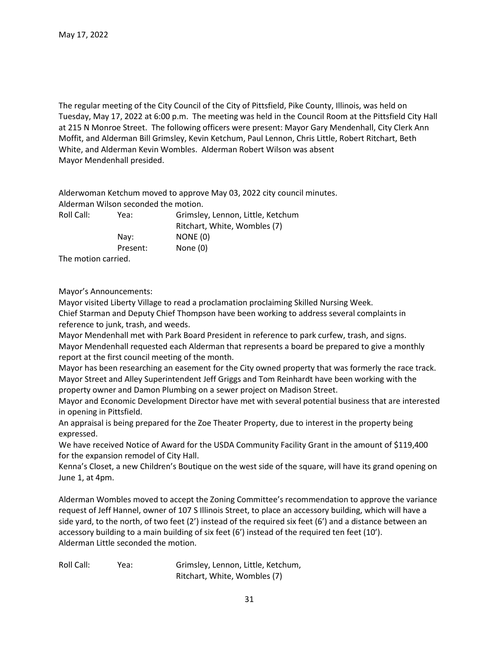The regular meeting of the City Council of the City of Pittsfield, Pike County, Illinois, was held on Tuesday, May 17, 2022 at 6:00 p.m. The meeting was held in the Council Room at the Pittsfield City Hall at 215 N Monroe Street. The following officers were present: Mayor Gary Mendenhall, City Clerk Ann Moffit, and Alderman Bill Grimsley, Kevin Ketchum, Paul Lennon, Chris Little, Robert Ritchart, Beth White, and Alderman Kevin Wombles. Alderman Robert Wilson was absent Mayor Mendenhall presided.

Alderwoman Ketchum moved to approve May 03, 2022 city council minutes. Alderman Wilson seconded the motion. Roll Call: Yea: Grimsley, Lennon, Little, Ketchum Ritchart, White, Wombles (7)

|                     | Ritchart, white, wombles (7) |
|---------------------|------------------------------|
| Nay:                | NONE (0)                     |
| Present:            | None (0)                     |
| The motion carried. |                              |

Mayor's Announcements:

Mayor visited Liberty Village to read a proclamation proclaiming Skilled Nursing Week. Chief Starman and Deputy Chief Thompson have been working to address several complaints in reference to junk, trash, and weeds.

Mayor Mendenhall met with Park Board President in reference to park curfew, trash, and signs. Mayor Mendenhall requested each Alderman that represents a board be prepared to give a monthly report at the first council meeting of the month.

Mayor has been researching an easement for the City owned property that was formerly the race track. Mayor Street and Alley Superintendent Jeff Griggs and Tom Reinhardt have been working with the property owner and Damon Plumbing on a sewer project on Madison Street.

Mayor and Economic Development Director have met with several potential business that are interested in opening in Pittsfield.

An appraisal is being prepared for the Zoe Theater Property, due to interest in the property being expressed.

We have received Notice of Award for the USDA Community Facility Grant in the amount of \$119,400 for the expansion remodel of City Hall.

Kenna's Closet, a new Children's Boutique on the west side of the square, will have its grand opening on June 1, at 4pm.

Alderman Wombles moved to accept the Zoning Committee's recommendation to approve the variance request of Jeff Hannel, owner of 107 S Illinois Street, to place an accessory building, which will have a side yard, to the north, of two feet (2') instead of the required six feet (6') and a distance between an accessory building to a main building of six feet (6') instead of the required ten feet (10'). Alderman Little seconded the motion.

Roll Call: Yea: Grimsley, Lennon, Little, Ketchum, Ritchart, White, Wombles (7)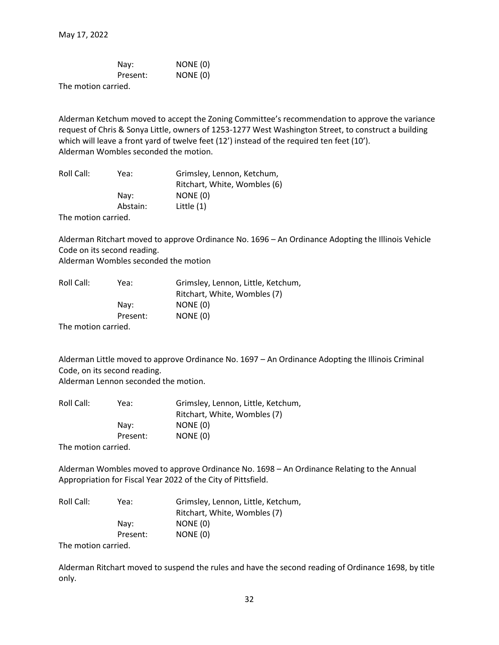|                                       | Nav:     | NONE (0) |
|---------------------------------------|----------|----------|
|                                       | Present: | NONE (0) |
| المتحاسبين والمتحافظ والمتحدث والتلاح |          |          |

The motion carried.

Alderman Ketchum moved to accept the Zoning Committee's recommendation to approve the variance request of Chris & Sonya Little, owners of 1253-1277 West Washington Street, to construct a building which will leave a front yard of twelve feet (12') instead of the required ten feet (10'). Alderman Wombles seconded the motion.

| Roll Call: | Yea:     | Grimsley, Lennon, Ketchum,   |
|------------|----------|------------------------------|
|            |          | Ritchart, White, Wombles (6) |
|            | Nav:     | NONE (0)                     |
|            | Abstain: | Little $(1)$                 |
|            |          |                              |

The motion carried.

Alderman Ritchart moved to approve Ordinance No. 1696 – An Ordinance Adopting the Illinois Vehicle Code on its second reading.

Alderman Wombles seconded the motion

| Roll Call:<br>Yea: | Grimsley, Lennon, Little, Ketchum, |          |
|--------------------|------------------------------------|----------|
|                    | Ritchart, White, Wombles (7)       |          |
|                    | Nav:                               | NONE (0) |
|                    | Present:                           | NONE (0) |
|                    |                                    |          |

The motion carried.

Alderman Little moved to approve Ordinance No. 1697 – An Ordinance Adopting the Illinois Criminal Code, on its second reading.

Alderman Lennon seconded the motion.

| Roll Call:<br>Yea: | Grimsley, Lennon, Little, Ketchum, |          |
|--------------------|------------------------------------|----------|
|                    | Ritchart, White, Wombles (7)       |          |
|                    | Nay:                               | NONE (0) |
|                    | Present:                           | NONE (0) |
|                    |                                    |          |

The motion carried.

Alderman Wombles moved to approve Ordinance No. 1698 – An Ordinance Relating to the Annual Appropriation for Fiscal Year 2022 of the City of Pittsfield.

| Roll Call:<br>Yea:           | Grimsley, Lennon, Little, Ketchum, |          |
|------------------------------|------------------------------------|----------|
|                              | Ritchart, White, Wombles (7)       |          |
|                              | Nay:                               | NONE (0) |
|                              | Present:                           | NONE (0) |
| - 天地 しょうしょう しょうしょうしょう しょうしょう |                                    |          |

The motion carried.

Alderman Ritchart moved to suspend the rules and have the second reading of Ordinance 1698, by title only.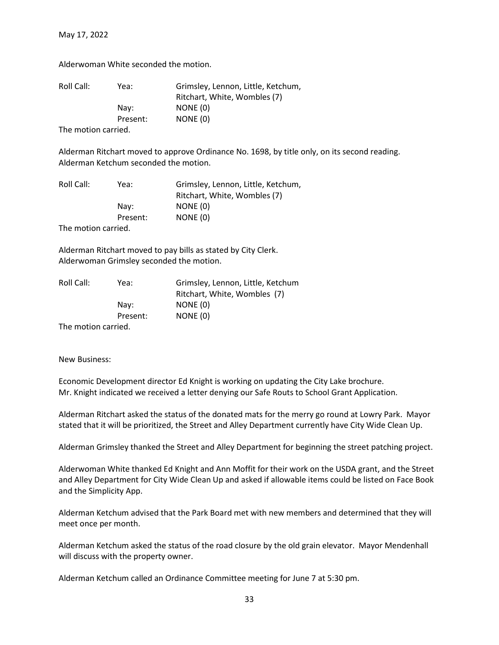May 17, 2022

Alderwoman White seconded the motion.

| Roll Call:<br>Yea: | Grimsley, Lennon, Little, Ketchum,<br>Ritchart, White, Wombles (7) |          |
|--------------------|--------------------------------------------------------------------|----------|
|                    | Nav:                                                               | NONE (0) |
|                    | Present:                                                           | NONE (0) |
|                    |                                                                    |          |

The motion carried.

Alderman Ritchart moved to approve Ordinance No. 1698, by title only, on its second reading. Alderman Ketchum seconded the motion.

| Roll Call:<br>Yea: | Grimsley, Lennon, Little, Ketchum, |          |
|--------------------|------------------------------------|----------|
|                    | Ritchart, White, Wombles (7)       |          |
|                    | Nav:                               | NONE (0) |
|                    | Present:                           | NONE (0) |
|                    |                                    |          |

The motion carried.

Alderman Ritchart moved to pay bills as stated by City Clerk. Alderwoman Grimsley seconded the motion.

| Roll Call:<br>Yea:     | Grimsley, Lennon, Little, Ketchum |          |
|------------------------|-----------------------------------|----------|
|                        | Ritchart, White, Wombles (7)      |          |
|                        | Nav:                              | NONE (0) |
|                        | Present:                          | NONE (0) |
| The mention commission |                                   |          |

The motion carried.

New Business:

Economic Development director Ed Knight is working on updating the City Lake brochure. Mr. Knight indicated we received a letter denying our Safe Routs to School Grant Application.

Alderman Ritchart asked the status of the donated mats for the merry go round at Lowry Park. Mayor stated that it will be prioritized, the Street and Alley Department currently have City Wide Clean Up.

Alderman Grimsley thanked the Street and Alley Department for beginning the street patching project.

Alderwoman White thanked Ed Knight and Ann Moffit for their work on the USDA grant, and the Street and Alley Department for City Wide Clean Up and asked if allowable items could be listed on Face Book and the Simplicity App.

Alderman Ketchum advised that the Park Board met with new members and determined that they will meet once per month.

Alderman Ketchum asked the status of the road closure by the old grain elevator. Mayor Mendenhall will discuss with the property owner.

Alderman Ketchum called an Ordinance Committee meeting for June 7 at 5:30 pm.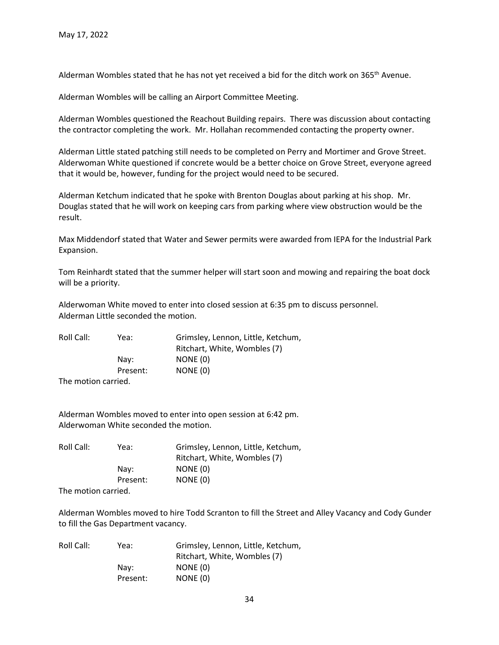Alderman Wombles stated that he has not yet received a bid for the ditch work on 365<sup>th</sup> Avenue.

Alderman Wombles will be calling an Airport Committee Meeting.

Alderman Wombles questioned the Reachout Building repairs. There was discussion about contacting the contractor completing the work. Mr. Hollahan recommended contacting the property owner.

Alderman Little stated patching still needs to be completed on Perry and Mortimer and Grove Street. Alderwoman White questioned if concrete would be a better choice on Grove Street, everyone agreed that it would be, however, funding for the project would need to be secured.

Alderman Ketchum indicated that he spoke with Brenton Douglas about parking at his shop. Mr. Douglas stated that he will work on keeping cars from parking where view obstruction would be the result.

Max Middendorf stated that Water and Sewer permits were awarded from IEPA for the Industrial Park Expansion.

Tom Reinhardt stated that the summer helper will start soon and mowing and repairing the boat dock will be a priority.

Alderwoman White moved to enter into closed session at 6:35 pm to discuss personnel. Alderman Little seconded the motion.

| Roll Call:<br>Yea: | Grimsley, Lennon, Little, Ketchum, |          |
|--------------------|------------------------------------|----------|
|                    | Ritchart, White, Wombles (7)       |          |
|                    | Nav:                               | NONE (0) |
|                    | Present:                           | NONE (0) |
| The metion carried |                                    |          |

The motion carried.

Alderman Wombles moved to enter into open session at 6:42 pm. Alderwoman White seconded the motion.

| Roll Call:<br>Yea: | Grimsley, Lennon, Little, Ketchum, |          |
|--------------------|------------------------------------|----------|
|                    | Ritchart, White, Wombles (7)       |          |
|                    | Nav:                               | NONE (0) |
| Present:           |                                    | NONE (0) |
| The metion carried |                                    |          |

The motion carried.

Alderman Wombles moved to hire Todd Scranton to fill the Street and Alley Vacancy and Cody Gunder to fill the Gas Department vacancy.

| Roll Call:<br>Yea:<br>Nav: | Grimsley, Lennon, Little, Ketchum, |          |
|----------------------------|------------------------------------|----------|
|                            | Ritchart, White, Wombles (7)       |          |
|                            | NONE (0)                           |          |
|                            | Present:                           | NONE (0) |